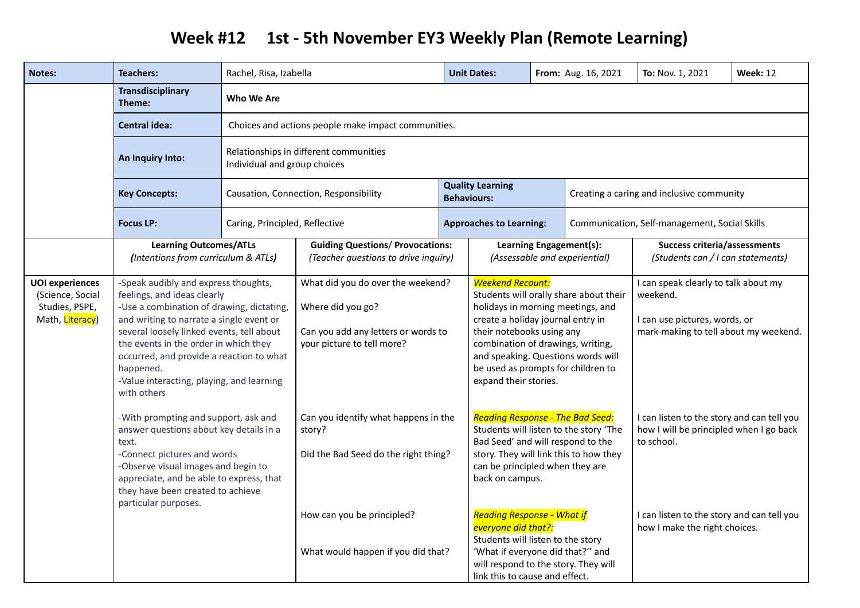## **Week #12 1st - 5th November EY3 Weekly Plan (Remote Learning)**

| Notes:                                                                          | <b>Teachers:</b>                                                                                                                                                                                                                                                                                                                                                                                                                                                                                                                                                                                                                                   | Rachel, Risa, Izabella                                                                                                                      |                                                                                                                             |                                                                                                                                                                                                                                                                                                                    | <b>Unit Dates:</b>                                                                                                                                                                                                                                          | From: Aug. 16, 2021                                      |                                                                                                                                                   | To: Nov. 1, 2021                                                         | <b>Week: 12</b> |
|---------------------------------------------------------------------------------|----------------------------------------------------------------------------------------------------------------------------------------------------------------------------------------------------------------------------------------------------------------------------------------------------------------------------------------------------------------------------------------------------------------------------------------------------------------------------------------------------------------------------------------------------------------------------------------------------------------------------------------------------|---------------------------------------------------------------------------------------------------------------------------------------------|-----------------------------------------------------------------------------------------------------------------------------|--------------------------------------------------------------------------------------------------------------------------------------------------------------------------------------------------------------------------------------------------------------------------------------------------------------------|-------------------------------------------------------------------------------------------------------------------------------------------------------------------------------------------------------------------------------------------------------------|----------------------------------------------------------|---------------------------------------------------------------------------------------------------------------------------------------------------|--------------------------------------------------------------------------|-----------------|
|                                                                                 | <b>Transdisciplinary</b><br>Theme:                                                                                                                                                                                                                                                                                                                                                                                                                                                                                                                                                                                                                 | Who We Are<br>Choices and actions people make impact communities.<br>Relationships in different communities<br>Individual and group choices |                                                                                                                             |                                                                                                                                                                                                                                                                                                                    |                                                                                                                                                                                                                                                             |                                                          |                                                                                                                                                   |                                                                          |                 |
|                                                                                 | <b>Central idea:</b>                                                                                                                                                                                                                                                                                                                                                                                                                                                                                                                                                                                                                               |                                                                                                                                             |                                                                                                                             |                                                                                                                                                                                                                                                                                                                    |                                                                                                                                                                                                                                                             |                                                          |                                                                                                                                                   |                                                                          |                 |
|                                                                                 | An Inquiry Into:                                                                                                                                                                                                                                                                                                                                                                                                                                                                                                                                                                                                                                   |                                                                                                                                             |                                                                                                                             |                                                                                                                                                                                                                                                                                                                    |                                                                                                                                                                                                                                                             |                                                          |                                                                                                                                                   |                                                                          |                 |
|                                                                                 | <b>Key Concepts:</b>                                                                                                                                                                                                                                                                                                                                                                                                                                                                                                                                                                                                                               |                                                                                                                                             | Causation, Connection, Responsibility                                                                                       |                                                                                                                                                                                                                                                                                                                    | <b>Quality Learning</b><br><b>Behaviours:</b>                                                                                                                                                                                                               |                                                          | Creating a caring and inclusive community                                                                                                         |                                                                          |                 |
|                                                                                 | <b>Focus LP:</b>                                                                                                                                                                                                                                                                                                                                                                                                                                                                                                                                                                                                                                   | Caring, Principled, Reflective                                                                                                              |                                                                                                                             |                                                                                                                                                                                                                                                                                                                    | <b>Approaches to Learning:</b>                                                                                                                                                                                                                              |                                                          |                                                                                                                                                   | Communication, Self-management, Social Skills                            |                 |
|                                                                                 | <b>Learning Outcomes/ATLs</b><br>(Intentions from curriculum & ATLs)                                                                                                                                                                                                                                                                                                                                                                                                                                                                                                                                                                               |                                                                                                                                             | <b>Guiding Questions/ Provocations:</b><br>(Teacher questions to drive inquiry)                                             |                                                                                                                                                                                                                                                                                                                    |                                                                                                                                                                                                                                                             | Learning Engagement(s):<br>(Assessable and experiential) |                                                                                                                                                   | <b>Success criteria/assessments</b><br>(Students can / I can statements) |                 |
| <b>UOI</b> experiences<br>(Science, Social<br>Studies, PSPE,<br>Math, Literacy) | -Speak audibly and express thoughts,<br>feelings, and ideas clearly<br>-Use a combination of drawing, dictating,<br>and writing to narrate a single event or<br>several loosely linked events, tell about<br>the events in the order in which they<br>occurred, and provide a reaction to what<br>happened.<br>-Value interacting, playing, and learning<br>with others<br>-With prompting and support, ask and<br>answer questions about key details in a<br>text.<br>-Connect pictures and words<br>-Observe visual images and begin to<br>appreciate, and be able to express, that<br>they have been created to achieve<br>particular purposes. |                                                                                                                                             | What did you do over the weekend?<br>Where did you go?<br>Can you add any letters or words to<br>your picture to tell more? | <b>Weekend Recount:</b><br>Students will orally share about their<br>holidays in morning meetings, and<br>create a holiday journal entry in<br>their notebooks using any<br>combination of drawings, writing,<br>and speaking. Questions words will<br>be used as prompts for children to<br>expand their stories. |                                                                                                                                                                                                                                                             |                                                          | I can speak clearly to talk about my<br>weekend.<br>I can use pictures, words, or<br>mark-making to tell about my weekend.                        |                                                                          |                 |
|                                                                                 |                                                                                                                                                                                                                                                                                                                                                                                                                                                                                                                                                                                                                                                    |                                                                                                                                             | Can you identify what happens in the<br>story?<br>Did the Bad Seed do the right thing?<br>How can you be principled?        |                                                                                                                                                                                                                                                                                                                    | <b>Reading Response - The Bad Seed:</b><br>Students will listen to the story 'The<br>Bad Seed' and will respond to the<br>story. They will link this to how they<br>can be principled when they are<br>back on campus.<br><b>Reading Response - What if</b> |                                                          | I can listen to the story and can tell you<br>how I will be principled when I go back<br>to school.<br>I can listen to the story and can tell you |                                                                          |                 |
|                                                                                 |                                                                                                                                                                                                                                                                                                                                                                                                                                                                                                                                                                                                                                                    |                                                                                                                                             | What would happen if you did that?                                                                                          |                                                                                                                                                                                                                                                                                                                    | everyone did that?:<br>Students will listen to the story<br>'What if everyone did that?" and<br>will respond to the story. They will<br>link this to cause and effect.                                                                                      |                                                          |                                                                                                                                                   | how I make the right choices.                                            |                 |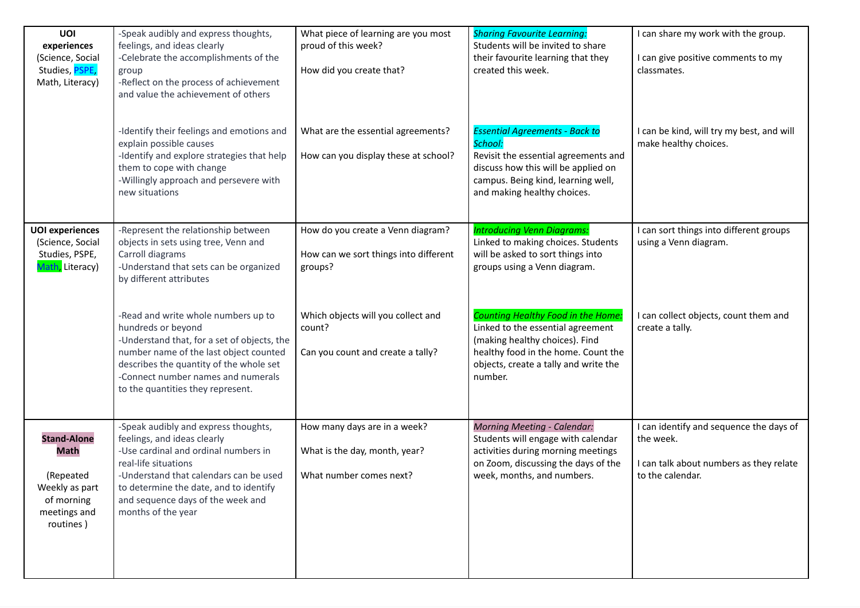| <b>UOI</b><br>experiences<br>(Science, Social<br>Studies, PSPE,<br>Math, Literacy)                          | -Speak audibly and express thoughts,<br>feelings, and ideas clearly<br>-Celebrate the accomplishments of the<br>group<br>-Reflect on the process of achievement<br>and value the achievement of others<br>-Identify their feelings and emotions and<br>explain possible causes<br>-Identify and explore strategies that help<br>them to cope with change<br>-Willingly approach and persevere with<br>new situations                             | What piece of learning are you most<br>proud of this week?<br>How did you create that?<br>What are the essential agreements?<br>How can you display these at school?       | <b>Sharing Favourite Learning:</b><br>Students will be invited to share<br>their favourite learning that they<br>created this week.<br><b>Essential Agreements - Back to</b><br>School:<br>Revisit the essential agreements and<br>discuss how this will be applied on<br>campus. Being kind, learning well,<br>and making healthy choices.          | I can share my work with the group.<br>I can give positive comments to my<br>classmates.<br>I can be kind, will try my best, and will<br>make healthy choices. |
|-------------------------------------------------------------------------------------------------------------|--------------------------------------------------------------------------------------------------------------------------------------------------------------------------------------------------------------------------------------------------------------------------------------------------------------------------------------------------------------------------------------------------------------------------------------------------|----------------------------------------------------------------------------------------------------------------------------------------------------------------------------|------------------------------------------------------------------------------------------------------------------------------------------------------------------------------------------------------------------------------------------------------------------------------------------------------------------------------------------------------|----------------------------------------------------------------------------------------------------------------------------------------------------------------|
| <b>UOI</b> experiences<br>(Science, Social<br>Studies, PSPE,<br>Math, Literacy)                             | -Represent the relationship between<br>objects in sets using tree, Venn and<br>Carroll diagrams<br>-Understand that sets can be organized<br>by different attributes<br>-Read and write whole numbers up to<br>hundreds or beyond<br>-Understand that, for a set of objects, the<br>number name of the last object counted<br>describes the quantity of the whole set<br>-Connect number names and numerals<br>to the quantities they represent. | How do you create a Venn diagram?<br>How can we sort things into different<br>groups?<br>Which objects will you collect and<br>count?<br>Can you count and create a tally? | <b>Introducing Venn Diagrams:</b><br>Linked to making choices. Students<br>will be asked to sort things into<br>groups using a Venn diagram.<br>Counting Healthy Food in the Home:<br>Linked to the essential agreement<br>(making healthy choices). Find<br>healthy food in the home. Count the<br>objects, create a tally and write the<br>number. | I can sort things into different groups<br>using a Venn diagram.<br>I can collect objects, count them and<br>create a tally.                                   |
| <b>Stand-Alone</b><br><b>Math</b><br>(Repeated<br>Weekly as part<br>of morning<br>meetings and<br>routines) | -Speak audibly and express thoughts,<br>feelings, and ideas clearly<br>-Use cardinal and ordinal numbers in<br>real-life situations<br>-Understand that calendars can be used<br>to determine the date, and to identify<br>and sequence days of the week and<br>months of the year                                                                                                                                                               | How many days are in a week?<br>What is the day, month, year?<br>What number comes next?                                                                                   | <b>Morning Meeting - Calendar:</b><br>Students will engage with calendar<br>activities during morning meetings<br>on Zoom, discussing the days of the<br>week, months, and numbers.                                                                                                                                                                  | I can identify and sequence the days of<br>the week.<br>I can talk about numbers as they relate<br>to the calendar.                                            |